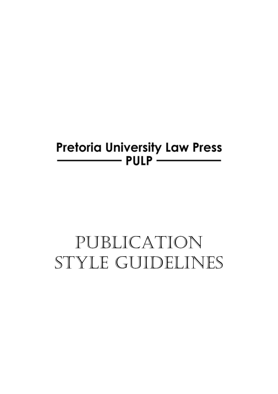# **Pretoria University Law Press**  $\rule{1em}{0.15mm}$  PULP  $\rule{1em}{0.15mm}$

# PUBLICATION STYLE GUIDELINES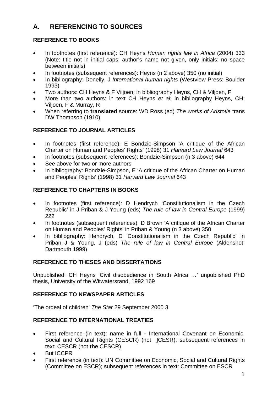# **A. REFERENCING TO SOURCES**

# **REFERENCE TO BOOKS**

- In footnotes (first reference): CH Heyns *Human rights law in Africa* (2004) 333 (Note: title not in initial caps; author's name not given, only initials; no space between initials)
- In footnotes (subsequent references): Heyns (n 2 above) 350 (no initial)
- In bibliography: Donelly, J *International human rights* (Westview Press: Boulder 1993)
- Two authors: CH Heyns & F Viljoen; in bibliography Heyns, CH & Viljoen, F
- More than two authors: in text CH Heyns *et al*; in bibliography Heyns, CH; Viljoen, F & Murray, R
- When referring to **translated** source: WD Ross (ed) *The works of Aristotle* trans DW Thompson (1910)

# **REFERENCE TO JOURNAL ARTICLES**

- In footnotes (first reference): E Bondzie-Simpson 'A critique of the African Charter on Human and Peoples' Rights' (1998) 31 *Harvard Law Journal* 643
- In footnotes (subsequent references): Bondzie-Simpson (n 3 above) 644
- See above for two or more authors
- In bibliography: Bondzie-Simpson, E 'A critique of the African Charter on Human and Peoples' Rights' (1998) 31 *Harvard Law Journal* 643

# **REFERENCE TO CHAPTERS IN BOOKS**

- In footnotes (first reference): D Hendrych 'Constitutionalism in the Czech Republic' in J Priban & J Young (eds) *The rule of law in Central Europe* (1999) 222
- In footnotes (subsequent references): D Brown 'A critique of the African Charter on Human and Peoples' Rights' in Priban & Young (n 3 above) 350
- In bibliography: Hendrych, D 'Constitutionalism in the Czech Republic' in Priban, J & Young, J (eds) *The rule of law in Central Europe* (Aldenshot: Dartmouth 1999)

# **REFERENCE TO THESES AND DISSERTATIONS**

Unpublished: CH Heyns 'Civil disobedience in South Africa …' unpublished PhD thesis, University of the Witwatersrand, 1992 169

# **REFERENCE TO NEWSPAPER ARTICLES**

'The ordeal of children' *The Star* 29 September 2000 3

# **REFERENCE TO INTERNATIONAL TREATIES**

- First reference (in text): name in full International Covenant on Economic, Social and Cultural Rights (CESCR) (not **I**CESR); subsequent references in text: CESCR (not **the** CESCR)
- But **I**CCPR
- First reference (in text): UN Committee on Economic, Social and Cultural Rights (Committee on ESCR); subsequent references in text: Committee on ESCR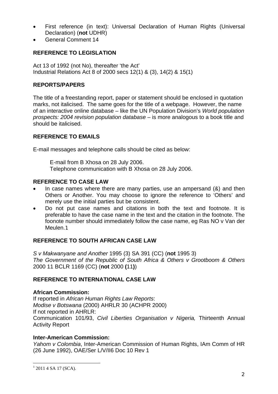- First reference (in text): Universal Declaration of Human Rights (Universal Declaration) (**not** UDHR)
- General Comment 14

# **REFERENCE TO LEGISLATION**

Act 13 of 1992 (not No), thereafter 'the Act' Industrial Relations Act 8 of 2000 secs 12(1) & (3), 14(2) & 15(1)

#### **REPORTS/PAPERS**

The title of a freestanding report, paper or statement should be enclosed in quotation marks, not italicised. The same goes for the title of a webpage. However, the name of an interactive online database – like the UN Population Division's *World population prospects: 2004 revision population database* – is more analogous to a book title and should be italicised.

#### **REFERENCE TO EMAILS**

E-mail messages and telephone calls should be cited as below:

 E-mail from B Xhosa on 28 July 2006. Telephone communication with B Xhosa on 28 July 2006.

#### **REFERENCE TO CASE LAW**

- In case names where there are many parties, use an ampersand (&) and then Others or Another. You may choose to ignore the reference to 'Others' and merely use the initial parties but be consistent.
- Do not put case names and citations in both the text and footnote. It is preferable to have the case name in the text and the citation in the footnote. The foonote number should immediately follow the case name, eg Ras NO v Van der Meulen.1

#### **REFERENCE TO SOUTH AFRICAN CASE LAW**

*S v Makwanyane and Another* 1995 (3) SA 391 (CC) (**not** 1995 3) *The Government of the Republic of South Africa & Others v Grootboom & Others* 2000 11 BCLR 1169 (CC) (**not** 2000 **(**11**)**)

#### **REFERENCE TO INTERNATIONAL CASE LAW**

#### **African Commission:**

If reported in *African Human Rights Law Reports*: *Modise v Botswana* (2000) AHRLR 30 (ACHPR 2000) If not reported in AHRLR: Communication 101/93, *Civil Liberties Organisation v Nigeria,* Thirteenth Annual Activity Report

#### **Inter-American Commission:**

*Yahom v Colombia*, Inter-American Commission of Human Rights, IAm Comm of HR (26 June 1992), OAE/Ser L/V/II6 Doc 10 Rev 1

-

 $1$  2011 4 SA 17 (SCA).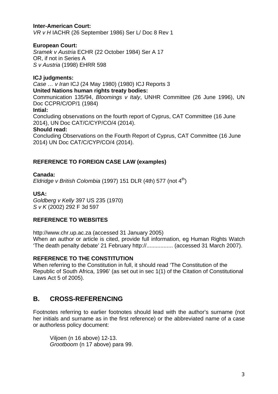#### **Inter-American Court:**

*VR v H* IACHR (26 September 1986) Ser L/ Doc 8 Rev 1

#### **European Court:**

*Sramek v Austria* ECHR (22 October 1984) Ser A 17 OR, if not in Series A *S v Austria* (1998) EHRR 598

#### **ICJ judgments:**

*Case … v Iran* ICJ (24 May 1980) (1980) ICJ Reports 3

#### **United Nations human rights treaty bodies:**

Communication 135/94, *Bloomings v Italy*, UNHR Committee (26 June 1996), UN Doc CCPR/C/OP/1 (1984)

#### **Intial:**

Concluding observations on the fourth report of Cyprus, CAT Committee (16 June 2014), UN Doc CAT/C/CYP/CO/4 (2014).

#### **Should read:**

Concluding Observations on the Fourth Report of Cyprus, CAT Committee (16 June 2014) UN Doc CAT/C/CYP/CO/4 (2014).

#### **REFERENCE TO FOREIGN CASE LAW (examples)**

#### **Canada:**

*Eldridge v British Colombia* (1997) 151 DLR (4th) 577 (not  $4<sup>th</sup>$ )

#### **USA:**

*Goldberg v Kelly* 397 US 235 (1970) *S v K* (2002) 292 F 3d 597

#### **REFERENCE TO WEBSITES**

http://www.chr.up.ac.za (accessed 31 January 2005) When an author or article is cited, provide full information, eg Human Rights Watch 'The death penalty debate' 21 February http://................. (accessed 31 March 2007).

#### **REFERENCE TO THE CONSTITUTION**

When referring to the Constitution in full, it should read 'The Constitution of the Republic of South Africa, 1996' (as set out in sec 1(1) of the Citation of Constitutional Laws Act 5 of 2005).

# **B. CROSS-REFERENCING**

Footnotes referring to earlier footnotes should lead with the author's surname (not her initials and surname as in the first reference) or the abbreviated name of a case or authorless policy document:

Viljoen (n 16 above) 12-13. *Grootboom* (n 17 above) para 99.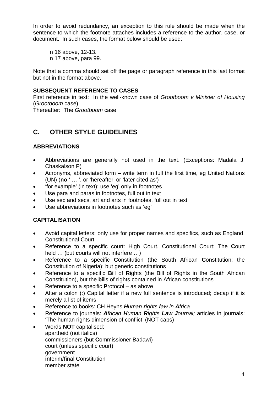In order to avoid redundancy, an exception to this rule should be made when the sentence to which the footnote attaches includes a reference to the author, case, or document. In such cases, the format below should be used:

 n 16 above, 12-13. n 17 above, para 99.

Note that a comma should set off the page or paragraph reference in this last format but not in the format above.

#### **SUBSEQUENT REFERENCE TO CASES**

First reference in text: In the well-known case of *Grootboom v Minister of Housing* (*Grootboom* case)

Thereafter: The *Grootboom* case

# **C. OTHER STYLE GUIDELINES**

# **ABBREVIATIONS**

- Abbreviations are generally not used in the text. (Exceptions: Madala J, Chaskalson P)
- Acronyms, abbreviated form write term in full the first time, eg United Nations (UN) (**no** ' … ', or 'hereafter' or 'later cited as')
- 'for example' (in text); use 'eg' only in footnotes
- Use para and paras in footnotes, full out in text
- Use sec and secs, art and arts in footnotes, full out in text
- Use abbreviations in footnotes such as 'eg'

# **CAPITALISATION**

- Avoid capital letters; only use for proper names and specifics, such as England, Constitutional Court
- Reference to a specific court: High Court, Constitutional Court: The **C**ourt held … (but **c**ourts will not interfere …)
- Reference to a specific **C**onstitution (the South African **C**onstitution; the **C**onstitution of Nigeria); but generic **c**onstitutions
- Reference to a specific **B**ill of **R**ights (the Bill of Rights in the South African Constitution), but the **b**ills of **r**ights contained in African constitutions
- Reference to a specific **P**rotocol as above
- After a colon (:) Capital letter if a new full sentence is introduced; decap if it is merely a list of items
- Reference to books: CH Heyns *Human rights law in Africa*
- Reference to journals: *African Human Rights Law Journal;* articles in journals: 'The human rights dimension of conflict' (NOT caps)
- Words **NOT** capitalised: apartheid (not italics) commissioners (but **C**ommissioner Badawi) court (unless specific court) government **i**nterim/**f**inal Constitution member state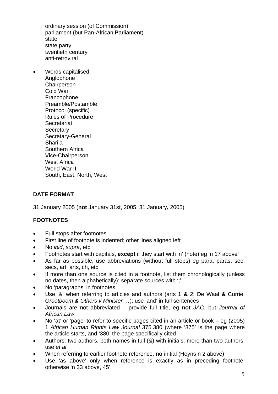ordinary session (of Commission) parliament (but Pan-African **P**arliament) state state party twentieth century anti-retroviral

 Words capitalised: Anglophone **Chairperson** Cold War **Francophone** Preamble/Postamble Protocol (specific) Rules of Procedure **Secretariat** Secretary Secretary-General Shari'a Southern Africa Vice-Chairperson West Africa World War II South, East, North, West

#### **DATE FORMAT**

31 January 2005 (**not** January 31st, 2005; 31 January**,** 2005)

#### **FOOTNOTES**

- Full stops after footnotes
- First line of footnote is indented; other lines aligned left
- No *ibid*, *supra*, etc
- Footnotes start with capitals, **except** if they start with 'n' (note) eg 'n 17 above'
- As far as possible, use abbreviations (without full stops) eg para, paras, sec, secs, art, arts, ch, etc
- If more than one source is cited in a footnote, list them chronologically (unless no dates, then alphabetically); separate sources with ';'
- No 'paragraphs' in footnotes
- Use '&' when referring to articles and authors (arts 1 **&** 2; De Waal **&** Currie; *Grootboom & Others v Minister …*); use 'and' in full sentences
- Journals are not abbreviated provide full title, eg **not** *JAC*, but *Journal of African Law*
- No 'at' or 'page' to refer to specific pages cited in an article or book eg (2005) 1 *African Human Rights Law Journal* 375 380 (where '375' is the page where the article starts, and '380' the page specifically cited
- Authors: two authors, both names in full (&) with initials; more than two authors, use *et al*
- When referring to earlier footnote reference, **no** initial (Heyns n 2 above)
- Use 'as above' only when reference is exactly as in preceding footnote; otherwise 'n 33 above, 45'.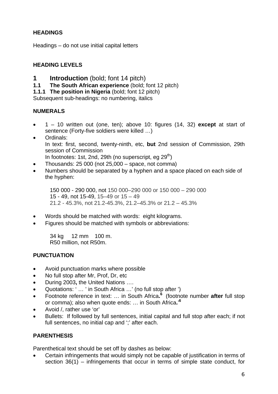# **HEADINGS**

Headings – do not use initial capital letters

# **HEADING LEVELS**

- **1** Introduction (bold; font 14 pitch)
- **1.1 The South African experience** (bold; font 12 pitch)

**1.1.1 The position in Nigeria** (bold; font 12 pitch)

Subsequent sub-headings: no numbering, italics

#### **NUMERALS**

- 1 10 written out (one, ten); above 10: figures (14, 32) **except** at start of sentence (Forty-five soldiers were killed …)
- Ordinals: In text: first, second, twenty-ninth, etc, **but** 2nd session of Commission, 29th session of Commission In footnotes: 1st, 2nd, 29th (no superscript, eg  $29<sup>th</sup>$ )
- Thousands: 25 000 (not 25,000 space, not comma)
- Numbers should be separated by a hyphen and a space placed on each side of the hyphen:

 150 000 - 290 000, not 150 000–290 000 or 150 000 – 290 000 15 - 49, not 15-49, 15–49 or 15 – 49 21.2 - 45.3%, not 21.2-45.3%, 21.2–45.3% or 21.2 – 45.3%

- Words should be matched with words: eight kilograms.
- Figures should be matched with symbols or abbreviations:

 34 kg 12 mm 100 m. R50 million, not R50m.

#### **PUNCTUATION**

- Avoid punctuation marks where possible
- No full stop after Mr, Prof, Dr, etc
- During 2003**,** the United Nations ….
- Quotations: ' … ' in South Africa …' (no full stop after ')
- Footnote reference in text: … in South Africa**. <sup>6</sup>**(footnote number **after** full stop or comma); also when quote ends: … in South Africa**.**' **6**
- Avoid /, rather use 'or'
- Bullets: If followed by full sentences, initial capital and full stop after each; if not full sentences, no initial cap and "; after each.

#### **PARENTHESIS**

Parenthetical text should be set off by dashes as below:

 Certain infringements that would simply not be capable of justification in terms of section 36(1) – infringements that occur in terms of simple state conduct, for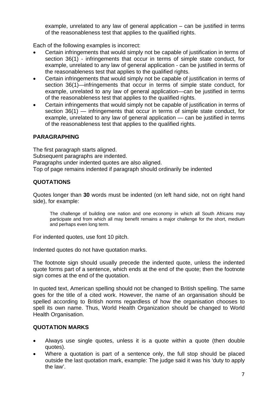example, unrelated to any law of general application – can be justified in terms of the reasonableness test that applies to the qualified rights.

Each of the following examples is incorrect:

- Certain infringements that would simply not be capable of justification in terms of section 36(1) - infringements that occur in terms of simple state conduct, for example, unrelated to any law of general application - can be justified in terms of the reasonableness test that applies to the qualified rights.
- Certain infringements that would simply not be capable of justification in terms of section 36(1)—infringements that occur in terms of simple state conduct, for example, unrelated to any law of general application—can be justified in terms of the reasonableness test that applies to the qualified rights.
- Certain infringements that would simply not be capable of justification in terms of section 36(1) — infringements that occur in terms of simple state conduct, for example, unrelated to any law of general application — can be justified in terms of the reasonableness test that applies to the qualified rights.

# **PARAGRAPHING**

The first paragraph starts aligned. Subsequent paragraphs are indented. Paragraphs under indented quotes are also aligned. Top of page remains indented if paragraph should ordinarily be indented

#### **QUOTATIONS**

Quotes longer than **30** words must be indented (on left hand side, not on right hand side), for example:

The challenge of building one nation and one economy in which all South Africans may participate and from which all may benefit remains a major challenge for the short, medium and perhaps even long term.

For indented quotes, use font 10 pitch.

Indented quotes do not have quotation marks.

The footnote sign should usually precede the indented quote, unless the indented quote forms part of a sentence, which ends at the end of the quote; then the footnote sign comes at the end of the quotation.

In quoted text, American spelling should not be changed to British spelling. The same goes for the title of a cited work. However, the name of an organisation should be spelled according to British norms regardless of how the organisation chooses to spell its own name. Thus, World Health Organization should be changed to World Health Organisation.

#### **QUOTATION MARKS**

- Always use single quotes, unless it is a quote within a quote (then double quotes).
- Where a quotation is part of a sentence only, the full stop should be placed outside the last quotation mark, example: The judge said it was his 'duty to apply the law'.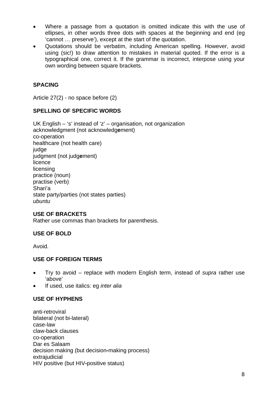- Where a passage from a quotation is omitted indicate this with the use of ellipses, in other words three dots with spaces at the beginning and end (eg 'cannot … preserve'), except at the start of the quotation.
- Quotations should be verbatim, including American spelling. However, avoid using (sic!) to draw attention to mistakes in material quoted. If the error is a typographical one, correct it. If the grammar is incorrect, interpose using your own wording between square brackets.

# **SPACING**

Article 27(2) - no space before (2)

#### **SPELLING OF SPECIFIC WORDS**

UK English – 's' instead of 'z' – organisation, not organization acknowledgment (not acknowledg**e**ment) co-operation healthcare (not health care) judge judgment (not judg**e**ment) licence licensing practice (noun) practise (verb) Shari'a state party/parties (not states parties) *ubuntu* 

#### **USE OF BRACKETS**

Rather use commas than brackets for parenthesis.

#### **USE OF BOLD**

Avoid.

#### **USE OF FOREIGN TERMS**

- Try to avoid replace with modern English term, instead of *supra* rather use 'above'
- If used, use italics: eg *inter alia*

#### **USE OF HYPHENS**

anti-retroviral bilateral (not bi-lateral) case-law claw-back clauses co-operation Dar es Salaam decision making (but decision**-**making process) extraiudicial HIV positive (but HIV**-**positive status)